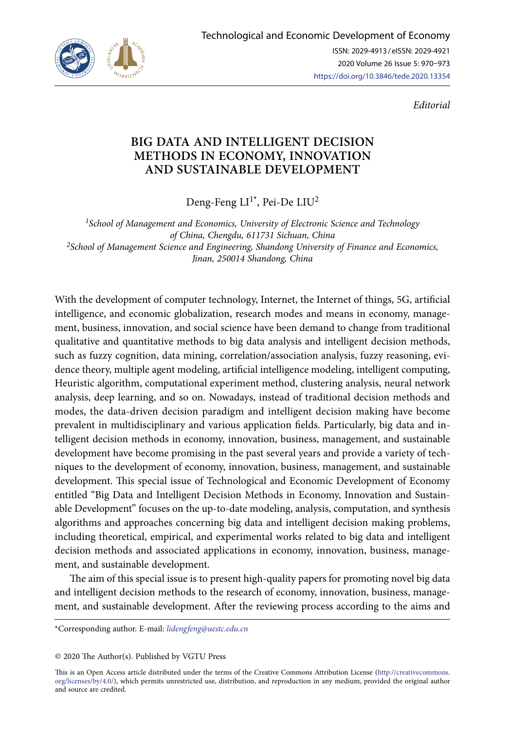

*Editorial*

## **BIG DATA AND INTELLIGENT DECISION METHODS IN ECONOMY, INNOVATION AND SUSTAINABLE DEVELOPMENT**

Deng-Feng LI<sup>1\*</sup>, Pei-De LIU<sup>2</sup>

*1School of Management and Economics, University of Electronic Science and Technology of China, Chengdu, 611731 Sichuan, China 2School of Management Science and Engineering, Shandong University of Finance and Economics, Jinan, 250014 Shandong, China*

With the development of computer technology, Internet, the Internet of things, 5G, artificial intelligence, and economic globalization, research modes and means in economy, management, business, innovation, and social science have been demand to change from traditional qualitative and quantitative methods to big data analysis and intelligent decision methods, such as fuzzy cognition, data mining, [correlation/association](file:///D:/TTED/%2b05_2020/javascript:;) [analysis,](file:///D:/TTED/%2b05_2020/javascript:;) fuzzy reasoning, evidence theory, multiple agent modeling, artificial intelligence modeling, intelligent computing, Heuristic algorithm, computational experiment method, clustering analysis, neural network analysis, deep learning, and so on. Nowadays, instead of traditional decision methods and modes, the data-driven decision paradigm and intelligent decision making have become prevalent in multidisciplinary and various application fields. Particularly, big data and intelligent decision methods in economy, innovation, business, management, and sustainable development have become promising in the past several years and provide a variety of techniques to the development of economy, innovation, business, management, and sustainable development. This special issue of Technological and Economic Development of Economy entitled "Big Data and Intelligent Decision Methods in Economy, Innovation and Sustainable Development" focuses on the up-to-date modeling, analysis, computation, and synthesis algorithms and approaches concerning big data and intelligent decision making problems, including theoretical, empirical, and experimental works related to big data and intelligent decision methods and associated applications in economy, innovation, business, management, and sustainable development.

The aim of this special issue is to present high-quality papers for promoting novel big data and intelligent decision methods to the research of economy, innovation, business, management, and sustainable development. After the reviewing process according to the aims and

\*Corresponding author. E-mail: *[lidengfeng@uestc.edu.cn](mailto:lidengfeng@uestc.edu.cn)*

© 2020 The Author(s). Published by VGTU Press

This is an Open Access article distributed under the terms of the Creative Commons Attribution License ([http://creativecommons.](http://dx.doi.org/10.1016/S0377-2217(03)00091-2) [org/licenses/by/4.0/\)](http://dx.doi.org/10.1016/S0377-2217(03)00091-2), which permits unrestricted use, distribution, and reproduction in any medium, provided the original author and source are credited.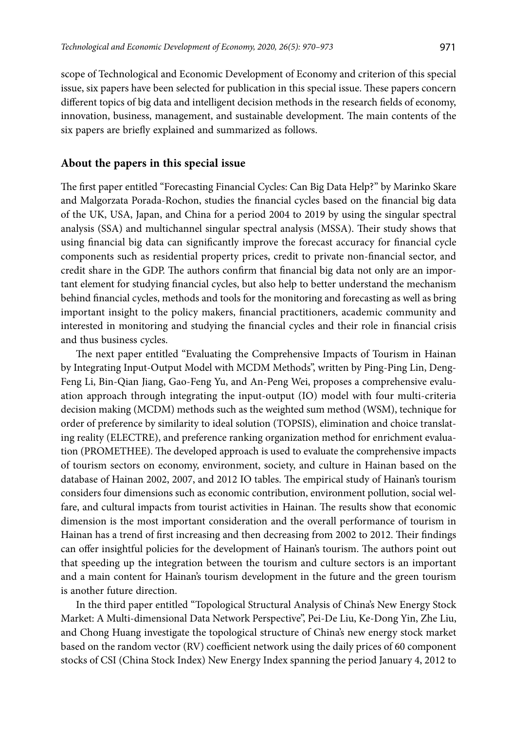scope of Technological and Economic Development of Economy and criterion of this special issue, six papers have been selected for publication in this special issue. These papers concern different topics of big data and intelligent decision methods in the research fields of economy, innovation, business, management, and sustainable development. The main contents of the six papers are briefly explained and summarized as follows.

## **About the papers in this special issue**

The first paper entitled "Forecasting Financial Cycles: Can Big Data Help?" by Marinko Skare and Malgorzata Porada-Rochon, studies the financial cycles based on the financial big data of the UK, USA, Japan, and China for a period 2004 to 2019 by using the singular spectral analysis (SSA) and multichannel singular spectral analysis (MSSA). Their study shows that using financial big data can significantly improve the forecast accuracy for financial cycle components such as residential property prices, credit to private non-financial sector, and credit share in the GDP. The authors confirm that financial big data not only are an important element for studying financial cycles, but also help to better understand the mechanism behind financial cycles, methods and tools for the monitoring and forecasting as well as bring important insight to the policy makers, financial practitioners, academic community and interested in monitoring and studying the financial cycles and their role in financial crisis and thus business cycles.

The next paper entitled "Evaluating the Comprehensive Impacts of Tourism in Hainan by Integrating Input-Output Model with MCDM Methods", written by Ping-Ping Lin, Deng-Feng Li, Bin-Qian Jiang, Gao-Feng Yu, and An-Peng Wei, proposes a comprehensive evaluation approach through integrating the input-output (IO) model with four multi-criteria decision making (MCDM) methods such as the weighted sum method (WSM), technique for order of preference by similarity to ideal solution (TOPSIS), elimination and choice translating reality (ELECTRE), and preference ranking organization method for enrichment evaluation (PROMETHEE). The developed approach is used to evaluate the comprehensive impacts of tourism sectors on economy, environment, society, and culture in Hainan based on the database of Hainan 2002, 2007, and 2012 IO tables. The empirical study of Hainan's tourism considers four dimensions such as economic contribution, environment pollution, social welfare, and cultural impacts from tourist activities in Hainan. The results show that economic dimension is the most important consideration and the overall performance of tourism in Hainan has a trend of first increasing and then decreasing from 2002 to 2012. Their findings can offer insightful policies for the development of Hainan's tourism. The authors point out that speeding up the integration between the tourism and culture sectors is an important and a main content for Hainan's tourism development in the future and the green tourism is another future direction.

In the third paper entitled "Topological Structural Analysis of China's New Energy Stock Market: A Multi-dimensional Data Network Perspective", Pei-De Liu, Ke-Dong Yin, Zhe Liu, and Chong Huang investigate the topological structure of China's new energy stock market based on the random vector (RV) coefficient network using the daily prices of 60 component stocks of CSI (China Stock Index) New Energy Index spanning the period January 4, 2012 to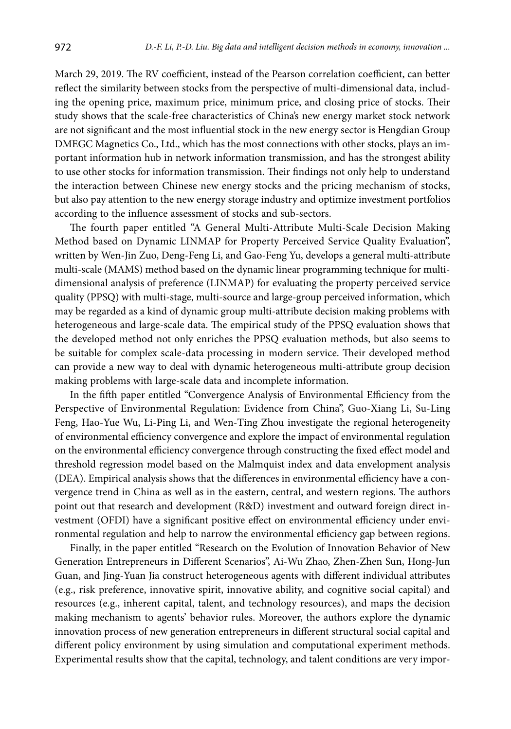March 29, 2019. The RV coefficient, instead of the Pearson correlation coefficient, can better reflect the similarity between stocks from the perspective of multi-dimensional data, including the opening price, maximum price, minimum price, and closing price of stocks. Their study shows that the scale-free characteristics of China's new energy market stock network are not significant and the most influential stock in the new energy sector is Hengdian Group DMEGC Magnetics Co., Ltd., which has the most connections with other stocks, plays an important information hub in network information transmission, and has the strongest ability to use other stocks for information transmission. Their findings not only help to understand the interaction between Chinese new energy stocks and the pricing mechanism of stocks, but also pay attention to the new energy storage industry and optimize investment portfolios according to the influence assessment of stocks and sub-sectors.

The fourth paper entitled "A General Multi-Attribute Multi-Scale Decision Making Method based on Dynamic LINMAP for Property Perceived Service Quality Evaluation", written by Wen-Jin Zuo, Deng-Feng Li, and Gao-Feng Yu, develops a general multi-attribute multi-scale (MAMS) method based on the dynamic linear programming technique for multidimensional analysis of preference (LINMAP) for evaluating the property perceived service quality (PPSQ) with multi-stage, multi-source and large-group perceived information, which may be regarded as a kind of dynamic group multi-attribute decision making problems with heterogeneous and large-scale data. The empirical study of the PPSQ evaluation shows that the developed method not only enriches the PPSQ evaluation methods, but also seems to be suitable for complex scale-data processing in modern service. Their developed method can provide a new way to deal with dynamic heterogeneous multi-attribute group decision making problems with large-scale data and incomplete information.

In the fifth paper entitled "Convergence Analysis of Environmental Efficiency from the Perspective of Environmental Regulation: Evidence from China", Guo-Xiang Li, Su-Ling Feng, Hao-Yue Wu, Li-Ping Li, and Wen-Ting Zhou investigate the regional heterogeneity of environmental efficiency convergence and explore the impact of environmental regulation on the environmental efficiency convergence through constructing the fixed effect model and threshold regression model based on the Malmquist index and data envelopment analysis (DEA). Empirical analysis shows that the differences in environmental efficiency have a convergence trend in China as well as in the eastern, central, and western regions. The authors point out that research and development (R&D) investment and outward foreign direct investment (OFDI) have a significant positive effect on environmental efficiency under environmental regulation and help to narrow the environmental efficiency gap between regions.

Finally, in the paper entitled "Research on the Evolution of Innovation Behavior of New Generation Entrepreneurs in Different Scenarios", Ai-Wu Zhao, Zhen-Zhen Sun, Hong-Jun Guan, and Jing-Yuan Jia construct heterogeneous agents with different individual attributes (e.g., risk preference, innovative spirit, innovative ability, and cognitive social capital) and resources (e.g., inherent capital, talent, and technology resources), and maps the decision making mechanism to agents' behavior rules. Moreover, the authors explore the dynamic innovation process of new generation entrepreneurs in different structural social capital and different policy environment by using simulation and computational experiment methods. Experimental results show that the capital, technology, and talent conditions are very impor